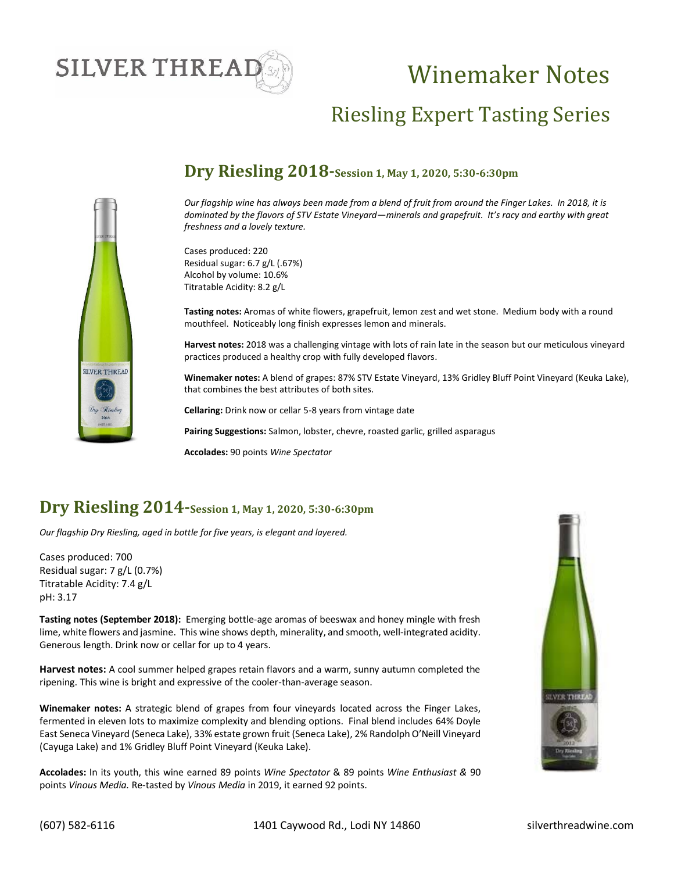# **SILVER THREAI**

# Winemaker Notes

# Riesling Expert Tasting Series



### **Dry Riesling 2018-Session 1, May 1, 2020, 5:30-6:30pm**

*Our flagship wine has always been made from a blend of fruit from around the Finger Lakes. In 2018, it is dominated by the flavors of STV Estate Vineyard—minerals and grapefruit. It's racy and earthy with great freshness and a lovely texture.* 

Cases produced: 220 Residual sugar: 6.7 g/L (.67%) Alcohol by volume: 10.6% Titratable Acidity: 8.2 g/L

**Tasting notes:** Aromas of white flowers, grapefruit, lemon zest and wet stone. Medium body with a round mouthfeel. Noticeably long finish expresses lemon and minerals.

**Harvest notes:** 2018 was a challenging vintage with lots of rain late in the season but our meticulous vineyard practices produced a healthy crop with fully developed flavors.

**Winemaker notes:** A blend of grapes: 87% STV Estate Vineyard, 13% Gridley Bluff Point Vineyard (Keuka Lake), that combines the best attributes of both sites.

**Cellaring:** Drink now or cellar 5-8 years from vintage date

**Pairing Suggestions:** Salmon, lobster, chevre, roasted garlic, grilled asparagus

**Accolades:** 90 points *Wine Spectator*

### **Dry Riesling 2014-Session 1, May 1, 2020, 5:30-6:30pm**

*Our flagship Dry Riesling, aged in bottle for five years, is elegant and layered.*

Cases produced: 700 Residual sugar: 7 g/L (0.7%) Titratable Acidity: 7.4 g/L pH: 3.17

**Tasting notes (September 2018):** Emerging bottle-age aromas of beeswax and honey mingle with fresh lime, white flowers and jasmine. This wine shows depth, minerality, and smooth, well-integrated acidity. Generous length. Drink now or cellar for up to 4 years.

**Harvest notes:** A cool summer helped grapes retain flavors and a warm, sunny autumn completed the ripening. This wine is bright and expressive of the cooler-than-average season.

**Winemaker notes:** A strategic blend of grapes from four vineyards located across the Finger Lakes, fermented in eleven lots to maximize complexity and blending options. Final blend includes 64% Doyle East Seneca Vineyard (Seneca Lake), 33% estate grown fruit (Seneca Lake), 2% Randolph O'Neill Vineyard (Cayuga Lake) and 1% Gridley Bluff Point Vineyard (Keuka Lake).

**Accolades:** In its youth, this wine earned 89 points *Wine Spectator* & 89 points *Wine Enthusiast &* 90 points *Vinous Media.* Re-tasted by *Vinous Media* in 2019, it earned 92 points.

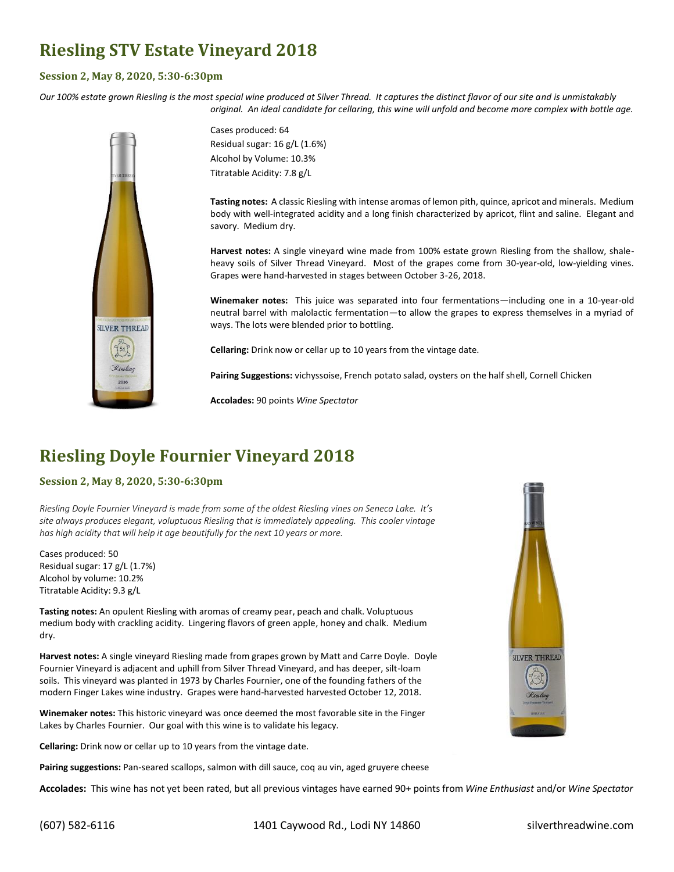## **Riesling STV Estate Vineyard 2018**

#### **Session 2, May 8, 2020, 5:30-6:30pm**

*Our 100% estate grown Riesling is the most special wine produced at Silver Thread. It captures the distinct flavor of our site and is unmistakably original. An ideal candidate for cellaring, this wine will unfold and become more complex with bottle age.*



Cases produced: 64 Residual sugar: 16 g/L (1.6%) Alcohol by Volume: 10.3% Titratable Acidity: 7.8 g/L

**Tasting notes:** A classic Riesling with intense aromas of lemon pith, quince, apricot and minerals. Medium body with well-integrated acidity and a long finish characterized by apricot, flint and saline. Elegant and savory. Medium dry.

**Harvest notes:** A single vineyard wine made from 100% estate grown Riesling from the shallow, shaleheavy soils of Silver Thread Vineyard. Most of the grapes come from 30-year-old, low-yielding vines. Grapes were hand-harvested in stages between October 3-26, 2018.

**Winemaker notes:** This juice was separated into four fermentations—including one in a 10-year-old neutral barrel with malolactic fermentation—to allow the grapes to express themselves in a myriad of ways. The lots were blended prior to bottling.

**Cellaring:** Drink now or cellar up to 10 years from the vintage date.

**Pairing Suggestions:** vichyssoise, French potato salad, oysters on the half shell, Cornell Chicken

**Accolades:** 90 points *Wine Spectator*

# **Riesling Doyle Fournier Vineyard 2018**

#### **Session 2, May 8, 2020, 5:30-6:30pm**

*Riesling Doyle Fournier Vineyard is made from some of the oldest Riesling vines on Seneca Lake. It's site always produces elegant, voluptuous Riesling that is immediately appealing. This cooler vintage has high acidity that will help it age beautifully for the next 10 years or more.*

Cases produced: 50 Residual sugar: 17 g/L (1.7%) Alcohol by volume: 10.2% Titratable Acidity: 9.3 g/L

**Tasting notes:** An opulent Riesling with aromas of creamy pear, peach and chalk. Voluptuous medium body with crackling acidity. Lingering flavors of green apple, honey and chalk. Medium dry.

**Harvest notes:** A single vineyard Riesling made from grapes grown by Matt and Carre Doyle. Doyle Fournier Vineyard is adjacent and uphill from Silver Thread Vineyard, and has deeper, silt-loam soils. This vineyard was planted in 1973 by Charles Fournier, one of the founding fathers of the modern Finger Lakes wine industry. Grapes were hand-harvested harvested October 12, 2018.

**Winemaker notes:** This historic vineyard was once deemed the most favorable site in the Finger Lakes by Charles Fournier. Our goal with this wine is to validate his legacy.

**Cellaring:** Drink now or cellar up to 10 years from the vintage date.

**Pairing suggestions:** Pan-seared scallops, salmon with dill sauce, coq au vin, aged gruyere cheese

**Accolades:** This wine has not yet been rated, but all previous vintages have earned 90+ points from *Wine Enthusiast* and/or *Wine Spectator*